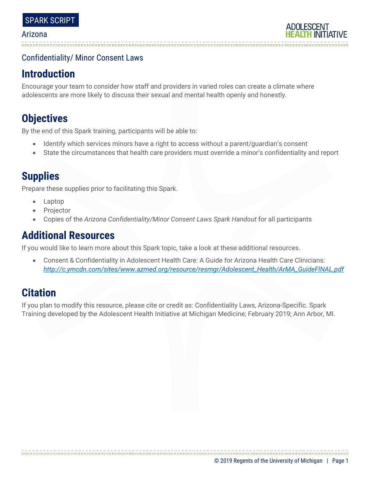## Confidentiality/ Minor Consent Laws

# **Introduction**

Encourage your team to consider how staff and providers in varied roles can create a climate where adolescents are more likely to discuss their sexual and mental health openly and honestly.

# **Objectives**

By the end of this Spark training, participants will be able to:

- Identify which services minors have a right to access without a parent/guardian's consent
- State the circumstances that health care providers must override a minor's confidentiality and report

# **Supplies**

Prepare these supplies prior to facilitating this Spark.

- Laptop
- **Projector**
- Copies of the *Arizona Confidentiality/Minor Consent Laws Spark Handout* for all participants

# **Additional Resources**

If you would like to learn more about this Spark topic, take a look at these additional resources.

• Consent & Confidentiality in Adolescent Health Care: A Guide for Arizona Health Care Clinicians: *[http://c.ymcdn.com/sites/www.azmed.org/resource/resmgr/Adolescent\\_Health/ArMA\\_GuideFINAL.pdf](http://c.ymcdn.com/sites/www.azmed.org/resource/resmgr/Adolescent_Health/ArMA_GuideFINAL.pdf)*

# **Citation**

If you plan to modify this resource, please cite or credit as: Confidentiality Laws, Arizona-Specific. Spark Training developed by the Adolescent Health Initiative at Michigan Medicine; February 2019; Ann Arbor, MI.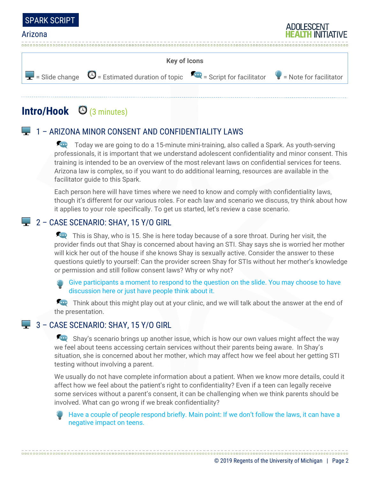



# **Intro/Hook** (3 minutes)

## 1 – ARIZONA MINOR CONSENT AND CONFIDENTIALITY LAWS

Today we are going to do a 15-minute mini-training, also called a Spark. As youth-serving professionals, it is important that we understand adolescent confidentiality and minor consent. This training is intended to be an overview of the most relevant laws on confidential services for teens. Arizona law is complex, so if you want to do additional learning, resources are available in the facilitator guide to this Spark.

Each person here will have times where we need to know and comply with confidentiality laws, though it's different for our various roles. For each law and scenario we discuss, try think about how it applies to your role specifically. To get us started, let's review a case scenario.

## 2 - CASE SCENARIO: SHAY, 15 Y/O GIRL

This is Shay, who is 15. She is here today because of a sore throat. During her visit, the provider finds out that Shay is concerned about having an STI. Shay says she is worried her mother will kick her out of the house if she knows Shay is sexually active. Consider the answer to these questions quietly to yourself: Can the provider screen Shay for STIs without her mother's knowledge or permission and still follow consent laws? Why or why not?

Give participants a moment to respond to the question on the slide. You may choose to have discussion here or just have people think about it.

Think about this might play out at your clinic, and we will talk about the answer at the end of the presentation.

### 3 - CASE SCENARIO: SHAY, 15 Y/O GIRL

Shay's scenario brings up another issue, which is how our own values might affect the way we feel about teens accessing certain services without their parents being aware. In Shay's situation, she is concerned about her mother, which may affect how we feel about her getting STI testing without involving a parent.

We usually do not have complete information about a patient. When we know more details, could it affect how we feel about the patient's right to confidentiality? Even if a teen can legally receive some services without a parent's consent, it can be challenging when we think parents should be involved. What can go wrong if we break confidentiality?

Have a couple of people respond briefly. Main point: If we don't follow the laws, it can have a negative impact on teens.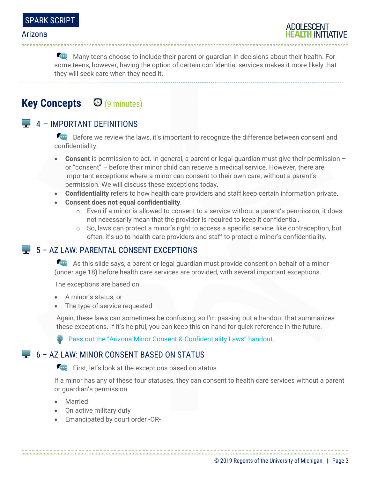

Many teens choose to include their parent or quardian in decisions about their health. For some teens, however, having the option of certain confidential services makes it more likely that they will seek care when they need it.

## **Key Concepts** (9 minutes)

### $\Box$  4 – IMPORTANT DEFINITIONS

Before we review the laws, it's important to recognize the difference between consent and confidentiality.

- **Consent** is permission to act. In general, a parent or legal guardian must give their permission or "consent" – before their minor child can receive a medical service. However, there are important exceptions where a minor can consent to their own care, without a parent's permission. We will discuss these exceptions today.
- **Confidentiality** refers to how health care providers and staff keep certain information private.
- **Consent does not equal confidentiality**.
	- $\circ$  Even if a minor is allowed to consent to a service without a parent's permission, it does not necessarily mean that the provider is required to keep it confidential.
	- $\circ$  So, laws can protect a minor's right to access a specific service, like contraception, but often, it's up to health care providers and staff to protect a minor's confidentiality.

### 5 – AZ LAW: PARENTAL CONSENT EXCEPTIONS

As this slide says, a parent or legal guardian must provide consent on behalf of a minor (under age 18) before health care services are provided, with several important exceptions.

The exceptions are based on:

- A minor's status, or
- The type of service requested

Again, these laws can sometimes be confusing, so I'm passing out a handout that summarizes these exceptions. If it's helpful, you can keep this on hand for quick reference in the future.

**Pass out the "Arizona Minor Consent & Confidentiality Laws" handout.** 

### $\Box$  6 – AZ LAW: MINOR CONSENT BASED ON STATUS

First, let's look at the exceptions based on status.

If a minor has any of these four statuses, they can consent to health care services without a parent or guardian's permission.

- Married
- On active military duty
- Emancipated by court order -OR-

© 2019 Regents of the University of Michigan | Page 3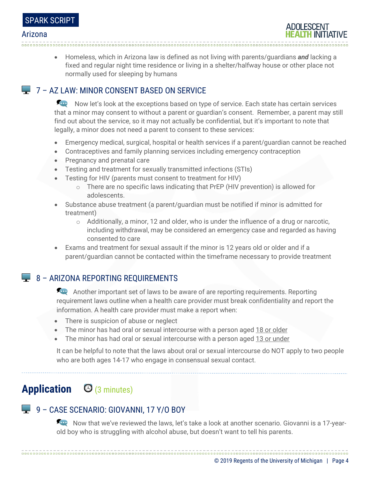

• Homeless, which in Arizona law is defined as not living with parents/guardians *and* lacking a fixed and regular night time residence or living in a shelter/halfway house or other place not normally used for sleeping by humans

## **7 – AZ LAW: MINOR CONSENT BASED ON SERVICE**

Acce Now let's look at the exceptions based on type of service. Each state has certain services that a minor may consent to without a parent or guardian's consent. Remember, a parent may still find out about the service, so it may not actually be confidential, but it's important to note that legally, a minor does not need a parent to consent to these services:

- Emergency medical, surgical, hospital or health services if a parent/guardian cannot be reached
- Contraceptives and family planning services including emergency contraception
- Pregnancy and prenatal care
- Testing and treatment for sexually transmitted infections (STIs)

- Testing for HIV (parents must consent to treatment for HIV)
	- $\circ$  There are no specific laws indicating that PrEP (HIV prevention) is allowed for adolescents.
- Substance abuse treatment (a parent/guardian must be notified if minor is admitted for treatment)
	- $\circ$  Additionally, a minor, 12 and older, who is under the influence of a drug or narcotic, including withdrawal, may be considered an emergency case and regarded as having consented to care
- Exams and treatment for sexual assault if the minor is 12 years old or older and if a parent/guardian cannot be contacted within the timeframe necessary to provide treatment

## $\Box$  8 – ARIZONA REPORTING REQUIREMENTS

Another important set of laws to be aware of are reporting requirements. Reporting requirement laws outline when a health care provider must break confidentiality and report the information. A health care provider must make a report when:

- There is suspicion of abuse or neglect
- The minor has had oral or sexual intercourse with a person aged 18 or older
- The minor has had oral or sexual intercourse with a person aged 13 or under

It can be helpful to note that the laws about oral or sexual intercourse do NOT apply to two people who are both ages 14-17 who engage in consensual sexual contact.

# **Application** (3 minutes)

## 9 – CASE SCENARIO: GIOVANNI, 17 Y/O BOY

Now that we've reviewed the laws, let's take a look at another scenario. Giovanni is a 17-yearold boy who is struggling with alcohol abuse, but doesn't want to tell his parents.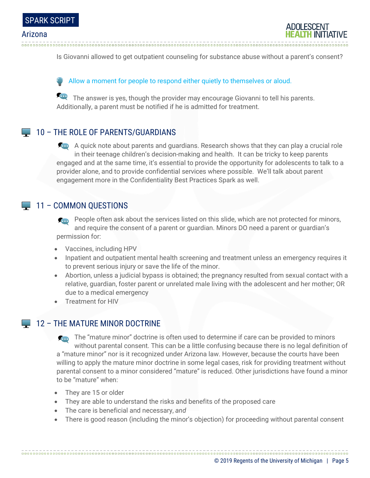

Is Giovanni allowed to get outpatient counseling for substance abuse without a parent's consent?

#### Allow a moment for people to respond either quietly to themselves or aloud.

The answer is yes, though the provider may encourage Giovanni to tell his parents. Additionally, a parent must be notified if he is admitted for treatment.

### 10 – THE ROLE OF PARENTS/GUARDIANS

A quick note about parents and guardians. Research shows that they can play a crucial role in their teenage children's decision-making and health. It can be tricky to keep parents engaged and at the same time, it's essential to provide the opportunity for adolescents to talk to a provider alone, and to provide confidential services where possible. We'll talk about parent engagement more in the Confidentiality Best Practices Spark as well.

#### 11 – COMMON QUESTIONS

**People often ask about the services listed on this slide, which are not protected for minors,** and require the consent of a parent or guardian. Minors DO need a parent or guardian's permission for:

- Vaccines, including HPV
- Inpatient and outpatient mental health screening and treatment unless an emergency requires it to prevent serious injury or save the life of the minor.
- Abortion, unless a judicial bypass is obtained; the pregnancy resulted from sexual contact with a relative, guardian, foster parent or unrelated male living with the adolescent and her mother; OR due to a medical emergency
- Treatment for HIV

### 12 – THE MATURE MINOR DOCTRINE

The "mature minor" doctrine is often used to determine if care can be provided to minors without parental consent. This can be a little confusing because there is no legal definition of a "mature minor" nor is it recognized under Arizona law. However, because the courts have been willing to apply the mature minor doctrine in some legal cases, risk for providing treatment without parental consent to a minor considered "mature" is reduced. Other jurisdictions have found a minor to be "mature" when:

- They are 15 or older
- They are able to understand the risks and benefits of the proposed care
- The care is beneficial and necessary, *and*
- There is good reason (including the minor's objection) for proceeding without parental consent